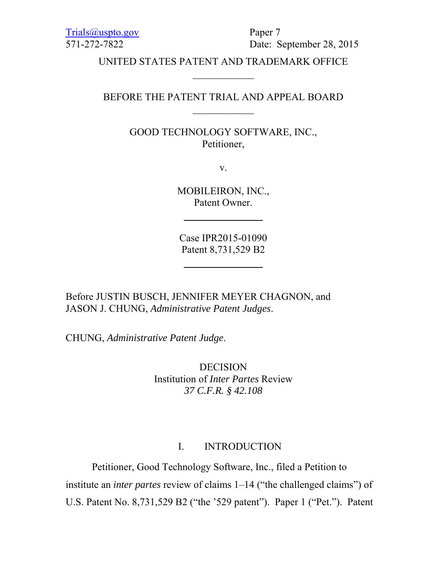Trials@uspto.gov Paper 7

571-272-7822 Date: September 28, 2015

UNITED STATES PATENT AND TRADEMARK OFFICE  $\mathcal{L}_\text{max}$ 

BEFORE THE PATENT TRIAL AND APPEAL BOARD

GOOD TECHNOLOGY SOFTWARE, INC., Petitioner,

v.

MOBILEIRON, INC., Patent Owner.

Case IPR2015-01090 Patent 8,731,529 B2

Before JUSTIN BUSCH, JENNIFER MEYER CHAGNON, and JASON J. CHUNG, *Administrative Patent Judges*.

CHUNG, *Administrative Patent Judge*.

DECISION Institution of *Inter Partes* Review *37 C.F.R. § 42.108* 

## I. INTRODUCTION

Petitioner, Good Technology Software, Inc., filed a Petition to institute an *inter partes* review of claims 1–14 ("the challenged claims") of U.S. Patent No. 8,731,529 B2 ("the '529 patent"). Paper 1 ("Pet."). Patent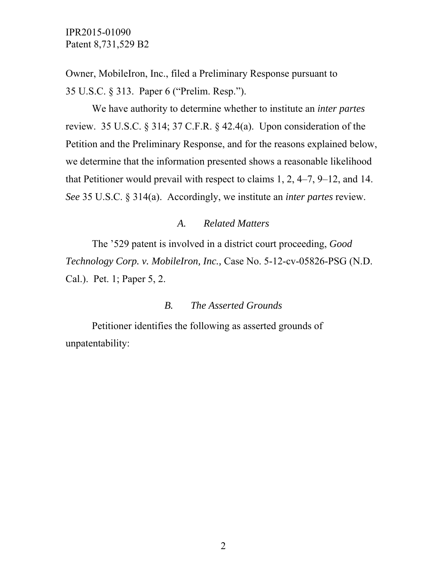Owner, MobileIron, Inc., filed a Preliminary Response pursuant to 35 U.S.C. § 313. Paper 6 ("Prelim. Resp.").

We have authority to determine whether to institute an *inter partes* review. 35 U.S.C. § 314; 37 C.F.R. § 42.4(a). Upon consideration of the Petition and the Preliminary Response, and for the reasons explained below, we determine that the information presented shows a reasonable likelihood that Petitioner would prevail with respect to claims 1, 2, 4–7, 9–12, and 14. *See* 35 U.S.C. § 314(a). Accordingly, we institute an *inter partes* review.

#### *A. Related Matters*

The '529 patent is involved in a district court proceeding, *Good Technology Corp. v. MobileIron, Inc.,* Case No. 5-12-cv-05826-PSG (N.D. Cal.). Pet. 1; Paper 5, 2.

#### *B. The Asserted Grounds*

Petitioner identifies the following as asserted grounds of unpatentability: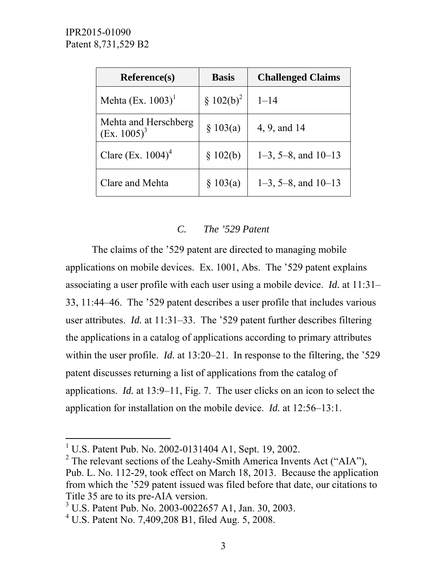| <b>Reference(s)</b>                    | <b>Basis</b> | <b>Challenged Claims</b> |
|----------------------------------------|--------------|--------------------------|
| Mehta $(Ex. 1003)^1$                   | $$102(b)^2$  | $1 - 14$                 |
| Mehta and Herschberg<br>$(Ex. 1005)^3$ | \$103(a)     | 4, 9, and 14             |
| Clare (Ex. $1004$ ) <sup>4</sup>       | \$102(b)     | $1-3$ , 5-8, and $10-13$ |
| Clare and Mehta                        | \$103(a)     | $1-3$ , 5-8, and $10-13$ |

## *C. The '529 Patent*

The claims of the '529 patent are directed to managing mobile applications on mobile devices. Ex. 1001, Abs. The '529 patent explains associating a user profile with each user using a mobile device. *Id.* at 11:31– 33, 11:44–46. The '529 patent describes a user profile that includes various user attributes. *Id.* at 11:31–33. The '529 patent further describes filtering the applications in a catalog of applications according to primary attributes within the user profile. *Id.* at 13:20–21. In response to the filtering, the '529 patent discusses returning a list of applications from the catalog of applications. *Id.* at 13:9–11, Fig. 7. The user clicks on an icon to select the application for installation on the mobile device. *Id.* at 12:56–13:1.

-

<sup>&</sup>lt;sup>1</sup> U.S. Patent Pub. No. 2002-0131404 A1, Sept. 19, 2002.

<sup>&</sup>lt;sup>2</sup> The relevant sections of the Leahy-Smith America Invents Act ("AIA"), Pub. L. No. 112-29, took effect on March 18, 2013. Because the application from which the '529 patent issued was filed before that date, our citations to Title 35 are to its pre-AIA version.

<sup>3</sup> U.S. Patent Pub. No. 2003-0022657 A1, Jan. 30, 2003.

<sup>4</sup> U.S. Patent No. 7,409,208 B1, filed Aug. 5, 2008.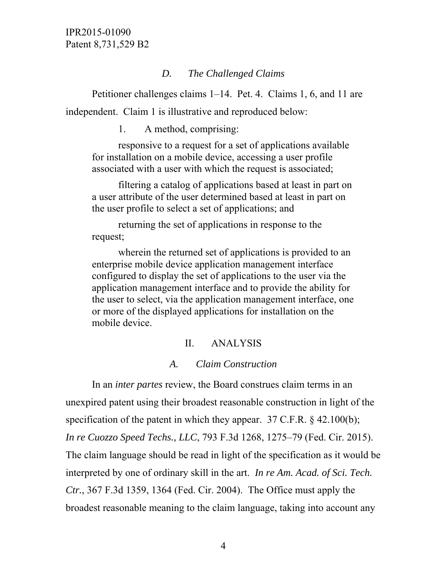## *D. The Challenged Claims*

Petitioner challenges claims 1–14. Pet. 4. Claims 1, 6, and 11 are independent. Claim 1 is illustrative and reproduced below:

1. A method, comprising:

responsive to a request for a set of applications available for installation on a mobile device, accessing a user profile associated with a user with which the request is associated;

filtering a catalog of applications based at least in part on a user attribute of the user determined based at least in part on the user profile to select a set of applications; and

returning the set of applications in response to the request;

wherein the returned set of applications is provided to an enterprise mobile device application management interface configured to display the set of applications to the user via the application management interface and to provide the ability for the user to select, via the application management interface, one or more of the displayed applications for installation on the mobile device.

## II. ANALYSIS

## *A. Claim Construction*

In an *inter partes* review, the Board construes claim terms in an unexpired patent using their broadest reasonable construction in light of the specification of the patent in which they appear. 37 C.F.R. § 42.100(b); *In re Cuozzo Speed Techs., LLC*, 793 F.3d 1268, 1275–79 (Fed. Cir. 2015). The claim language should be read in light of the specification as it would be interpreted by one of ordinary skill in the art. *In re Am. Acad. of Sci. Tech. Ctr.*, 367 F.3d 1359, 1364 (Fed. Cir. 2004). The Office must apply the broadest reasonable meaning to the claim language, taking into account any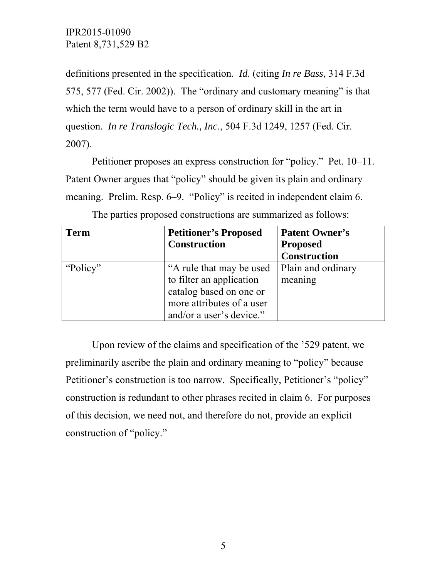definitions presented in the specification. *Id*. (citing *In re Bass*, 314 F.3d 575, 577 (Fed. Cir. 2002)). The "ordinary and customary meaning" is that which the term would have to a person of ordinary skill in the art in question. *In re Translogic Tech., Inc*., 504 F.3d 1249, 1257 (Fed. Cir. 2007).

Petitioner proposes an express construction for "policy." Pet. 10–11. Patent Owner argues that "policy" should be given its plain and ordinary meaning. Prelim. Resp. 6–9. "Policy" is recited in independent claim 6.

| <b>Term</b> | <b>Petitioner's Proposed</b><br><b>Construction</b>                                                                                      | <b>Patent Owner's</b><br><b>Proposed</b> |
|-------------|------------------------------------------------------------------------------------------------------------------------------------------|------------------------------------------|
|             |                                                                                                                                          | <b>Construction</b>                      |
| "Policy"    | "A rule that may be used<br>to filter an application<br>catalog based on one or<br>more attributes of a user<br>and/or a user's device." | Plain and ordinary<br>meaning            |

The parties proposed constructions are summarized as follows:

Upon review of the claims and specification of the '529 patent, we preliminarily ascribe the plain and ordinary meaning to "policy" because Petitioner's construction is too narrow. Specifically, Petitioner's "policy" construction is redundant to other phrases recited in claim 6. For purposes of this decision, we need not, and therefore do not, provide an explicit construction of "policy."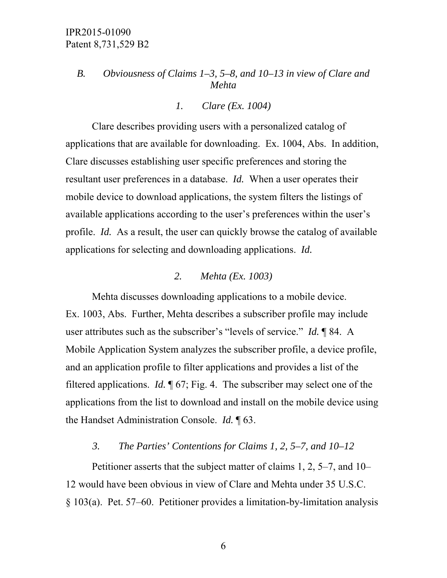## *B. Obviousness of Claims 1–3, 5–8, and 10–13 in view of Clare and Mehta*

#### *1. Clare (Ex. 1004)*

Clare describes providing users with a personalized catalog of applications that are available for downloading. Ex. 1004, Abs. In addition, Clare discusses establishing user specific preferences and storing the resultant user preferences in a database. *Id.* When a user operates their mobile device to download applications, the system filters the listings of available applications according to the user's preferences within the user's profile. *Id.* As a result, the user can quickly browse the catalog of available applications for selecting and downloading applications. *Id.*

#### *2. Mehta (Ex. 1003)*

Mehta discusses downloading applications to a mobile device. Ex. 1003, Abs. Further, Mehta describes a subscriber profile may include user attributes such as the subscriber's "levels of service." *Id.* ¶ 84. A Mobile Application System analyzes the subscriber profile, a device profile, and an application profile to filter applications and provides a list of the filtered applications. *Id.* ¶ 67; Fig. 4. The subscriber may select one of the applications from the list to download and install on the mobile device using the Handset Administration Console. *Id.* ¶ 63.

#### *3. The Parties' Contentions for Claims 1, 2, 5–7, and 10–12*

Petitioner asserts that the subject matter of claims 1, 2, 5–7, and 10– 12 would have been obvious in view of Clare and Mehta under 35 U.S.C. § 103(a). Pet. 57–60. Petitioner provides a limitation-by-limitation analysis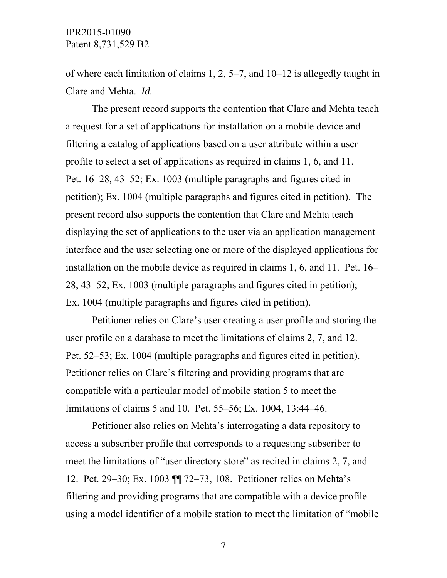of where each limitation of claims 1, 2, 5–7, and 10–12 is allegedly taught in Clare and Mehta. *Id.*

The present record supports the contention that Clare and Mehta teach a request for a set of applications for installation on a mobile device and filtering a catalog of applications based on a user attribute within a user profile to select a set of applications as required in claims 1, 6, and 11. Pet. 16–28, 43–52; Ex. 1003 (multiple paragraphs and figures cited in petition); Ex. 1004 (multiple paragraphs and figures cited in petition). The present record also supports the contention that Clare and Mehta teach displaying the set of applications to the user via an application management interface and the user selecting one or more of the displayed applications for installation on the mobile device as required in claims 1, 6, and 11. Pet. 16– 28, 43–52; Ex. 1003 (multiple paragraphs and figures cited in petition); Ex. 1004 (multiple paragraphs and figures cited in petition).

Petitioner relies on Clare's user creating a user profile and storing the user profile on a database to meet the limitations of claims 2, 7, and 12. Pet. 52–53; Ex. 1004 (multiple paragraphs and figures cited in petition). Petitioner relies on Clare's filtering and providing programs that are compatible with a particular model of mobile station 5 to meet the limitations of claims 5 and 10. Pet. 55–56; Ex. 1004, 13:44–46.

Petitioner also relies on Mehta's interrogating a data repository to access a subscriber profile that corresponds to a requesting subscriber to meet the limitations of "user directory store" as recited in claims 2, 7, and 12. Pet. 29–30; Ex. 1003 ¶¶ 72–73, 108. Petitioner relies on Mehta's filtering and providing programs that are compatible with a device profile using a model identifier of a mobile station to meet the limitation of "mobile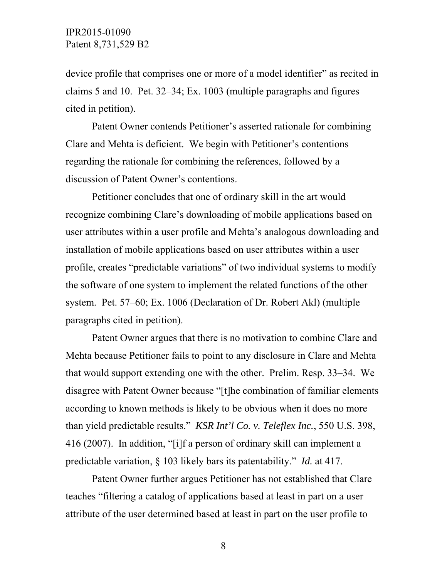device profile that comprises one or more of a model identifier" as recited in claims 5 and 10. Pet. 32–34; Ex. 1003 (multiple paragraphs and figures cited in petition).

Patent Owner contends Petitioner's asserted rationale for combining Clare and Mehta is deficient. We begin with Petitioner's contentions regarding the rationale for combining the references, followed by a discussion of Patent Owner's contentions.

Petitioner concludes that one of ordinary skill in the art would recognize combining Clare's downloading of mobile applications based on user attributes within a user profile and Mehta's analogous downloading and installation of mobile applications based on user attributes within a user profile, creates "predictable variations" of two individual systems to modify the software of one system to implement the related functions of the other system. Pet. 57–60; Ex. 1006 (Declaration of Dr. Robert Akl) (multiple paragraphs cited in petition).

Patent Owner argues that there is no motivation to combine Clare and Mehta because Petitioner fails to point to any disclosure in Clare and Mehta that would support extending one with the other. Prelim. Resp. 33–34. We disagree with Patent Owner because "[t]he combination of familiar elements according to known methods is likely to be obvious when it does no more than yield predictable results." *KSR Int'l Co. v. Teleflex Inc.*, 550 U.S. 398, 416 (2007). In addition, "[i]f a person of ordinary skill can implement a predictable variation, § 103 likely bars its patentability." *Id.* at 417.

Patent Owner further argues Petitioner has not established that Clare teaches "filtering a catalog of applications based at least in part on a user attribute of the user determined based at least in part on the user profile to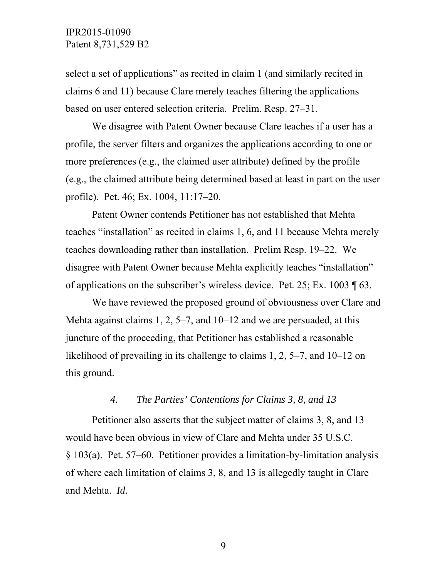select a set of applications" as recited in claim 1 (and similarly recited in claims 6 and 11) because Clare merely teaches filtering the applications based on user entered selection criteria. Prelim. Resp. 27–31.

We disagree with Patent Owner because Clare teaches if a user has a profile, the server filters and organizes the applications according to one or more preferences (e.g., the claimed user attribute) defined by the profile (e.g., the claimed attribute being determined based at least in part on the user profile). Pet. 46; Ex. 1004, 11:17–20.

Patent Owner contends Petitioner has not established that Mehta teaches "installation" as recited in claims 1, 6, and 11 because Mehta merely teaches downloading rather than installation. Prelim Resp. 19–22. We disagree with Patent Owner because Mehta explicitly teaches "installation" of applications on the subscriber's wireless device. Pet. 25; Ex. 1003 ¶ 63.

We have reviewed the proposed ground of obviousness over Clare and Mehta against claims 1, 2, 5–7, and 10–12 and we are persuaded, at this juncture of the proceeding, that Petitioner has established a reasonable likelihood of prevailing in its challenge to claims 1, 2, 5–7, and 10–12 on this ground.

#### *4. The Parties' Contentions for Claims 3, 8, and 13*

Petitioner also asserts that the subject matter of claims 3, 8, and 13 would have been obvious in view of Clare and Mehta under 35 U.S.C. § 103(a). Pet. 57–60. Petitioner provides a limitation-by-limitation analysis of where each limitation of claims 3, 8, and 13 is allegedly taught in Clare and Mehta. *Id.*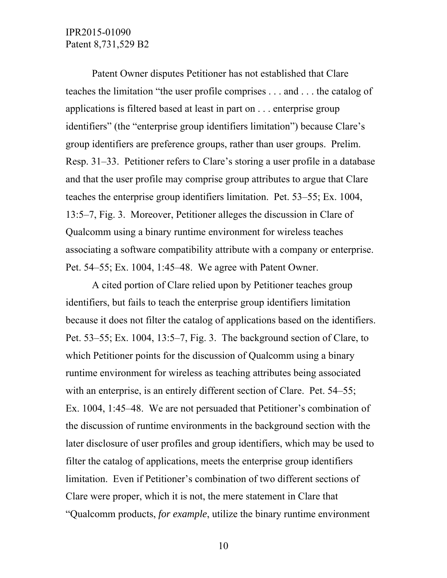Patent Owner disputes Petitioner has not established that Clare teaches the limitation "the user profile comprises . . . and . . . the catalog of applications is filtered based at least in part on . . . enterprise group identifiers" (the "enterprise group identifiers limitation") because Clare's group identifiers are preference groups, rather than user groups. Prelim. Resp. 31–33. Petitioner refers to Clare's storing a user profile in a database and that the user profile may comprise group attributes to argue that Clare teaches the enterprise group identifiers limitation. Pet. 53–55; Ex. 1004, 13:5–7, Fig. 3. Moreover, Petitioner alleges the discussion in Clare of Qualcomm using a binary runtime environment for wireless teaches associating a software compatibility attribute with a company or enterprise. Pet. 54–55; Ex. 1004, 1:45–48. We agree with Patent Owner.

A cited portion of Clare relied upon by Petitioner teaches group identifiers, but fails to teach the enterprise group identifiers limitation because it does not filter the catalog of applications based on the identifiers. Pet. 53–55; Ex. 1004, 13:5–7, Fig. 3. The background section of Clare, to which Petitioner points for the discussion of Qualcomm using a binary runtime environment for wireless as teaching attributes being associated with an enterprise, is an entirely different section of Clare. Pet. 54–55; Ex. 1004, 1:45–48. We are not persuaded that Petitioner's combination of the discussion of runtime environments in the background section with the later disclosure of user profiles and group identifiers, which may be used to filter the catalog of applications, meets the enterprise group identifiers limitation. Even if Petitioner's combination of two different sections of Clare were proper, which it is not, the mere statement in Clare that "Qualcomm products, *for example*, utilize the binary runtime environment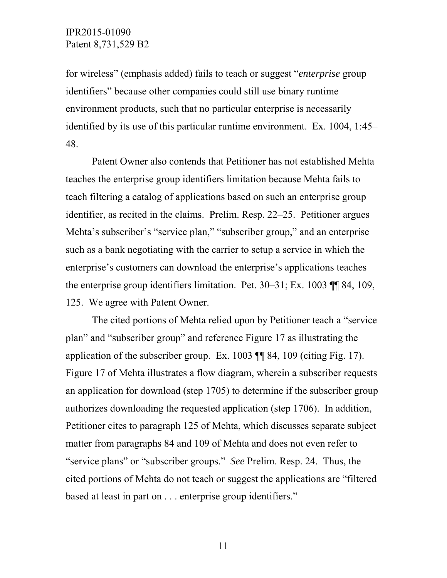for wireless" (emphasis added) fails to teach or suggest "*enterprise* group identifiers" because other companies could still use binary runtime environment products, such that no particular enterprise is necessarily identified by its use of this particular runtime environment. Ex. 1004, 1:45– 48.

Patent Owner also contends that Petitioner has not established Mehta teaches the enterprise group identifiers limitation because Mehta fails to teach filtering a catalog of applications based on such an enterprise group identifier, as recited in the claims. Prelim. Resp. 22–25. Petitioner argues Mehta's subscriber's "service plan," "subscriber group," and an enterprise such as a bank negotiating with the carrier to setup a service in which the enterprise's customers can download the enterprise's applications teaches the enterprise group identifiers limitation. Pet. 30–31; Ex. 1003 ¶¶ 84, 109, 125. We agree with Patent Owner.

The cited portions of Mehta relied upon by Petitioner teach a "service plan" and "subscriber group" and reference Figure 17 as illustrating the application of the subscriber group. Ex. 1003 ¶¶ 84, 109 (citing Fig. 17). Figure 17 of Mehta illustrates a flow diagram, wherein a subscriber requests an application for download (step 1705) to determine if the subscriber group authorizes downloading the requested application (step 1706). In addition, Petitioner cites to paragraph 125 of Mehta, which discusses separate subject matter from paragraphs 84 and 109 of Mehta and does not even refer to "service plans" or "subscriber groups." *See* Prelim. Resp. 24. Thus, the cited portions of Mehta do not teach or suggest the applications are "filtered based at least in part on . . . enterprise group identifiers."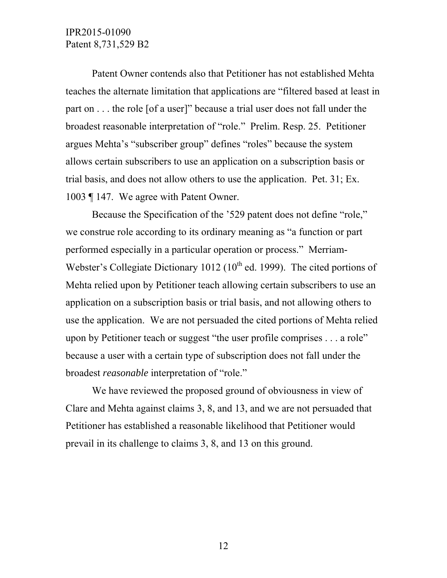Patent Owner contends also that Petitioner has not established Mehta teaches the alternate limitation that applications are "filtered based at least in part on . . . the role [of a user]" because a trial user does not fall under the broadest reasonable interpretation of "role." Prelim. Resp. 25. Petitioner argues Mehta's "subscriber group" defines "roles" because the system allows certain subscribers to use an application on a subscription basis or trial basis, and does not allow others to use the application. Pet. 31; Ex. 1003 ¶ 147. We agree with Patent Owner.

Because the Specification of the '529 patent does not define "role," we construe role according to its ordinary meaning as "a function or part performed especially in a particular operation or process." Merriam-Webster's Collegiate Dictionary 1012 ( $10^{th}$  ed. 1999). The cited portions of Mehta relied upon by Petitioner teach allowing certain subscribers to use an application on a subscription basis or trial basis, and not allowing others to use the application. We are not persuaded the cited portions of Mehta relied upon by Petitioner teach or suggest "the user profile comprises . . . a role" because a user with a certain type of subscription does not fall under the broadest *reasonable* interpretation of "role."

We have reviewed the proposed ground of obviousness in view of Clare and Mehta against claims 3, 8, and 13, and we are not persuaded that Petitioner has established a reasonable likelihood that Petitioner would prevail in its challenge to claims 3, 8, and 13 on this ground.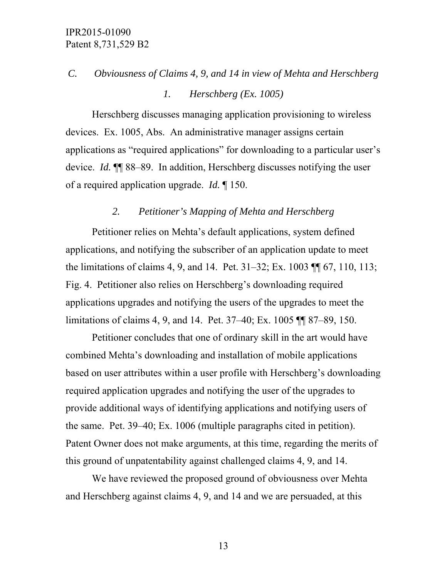# *C. Obviousness of Claims 4, 9, and 14 in view of Mehta and Herschberg*

## *1. Herschberg (Ex. 1005)*

Herschberg discusses managing application provisioning to wireless devices. Ex. 1005, Abs. An administrative manager assigns certain applications as "required applications" for downloading to a particular user's device. *Id.* ¶¶ 88–89. In addition, Herschberg discusses notifying the user of a required application upgrade. *Id.* ¶ 150.

#### *2. Petitioner's Mapping of Mehta and Herschberg*

Petitioner relies on Mehta's default applications, system defined applications, and notifying the subscriber of an application update to meet the limitations of claims 4, 9, and 14. Pet. 31–32; Ex. 1003 ¶¶ 67, 110, 113; Fig. 4. Petitioner also relies on Herschberg's downloading required applications upgrades and notifying the users of the upgrades to meet the limitations of claims 4, 9, and 14. Pet. 37–40; Ex. 1005 ¶¶ 87–89, 150.

Petitioner concludes that one of ordinary skill in the art would have combined Mehta's downloading and installation of mobile applications based on user attributes within a user profile with Herschberg's downloading required application upgrades and notifying the user of the upgrades to provide additional ways of identifying applications and notifying users of the same. Pet. 39–40; Ex. 1006 (multiple paragraphs cited in petition). Patent Owner does not make arguments, at this time, regarding the merits of this ground of unpatentability against challenged claims 4, 9, and 14.

We have reviewed the proposed ground of obviousness over Mehta and Herschberg against claims 4, 9, and 14 and we are persuaded, at this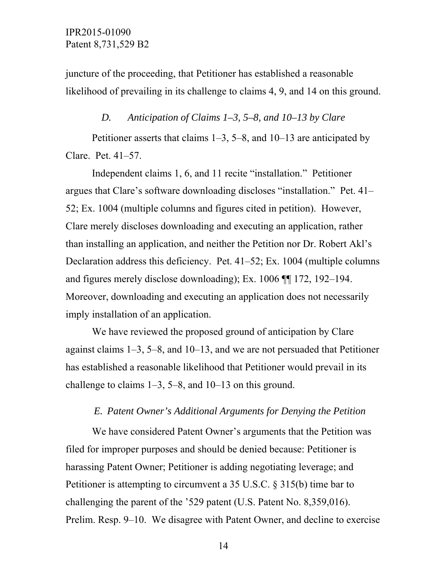juncture of the proceeding, that Petitioner has established a reasonable likelihood of prevailing in its challenge to claims 4, 9, and 14 on this ground.

#### *D. Anticipation of Claims 1–3, 5–8, and 10–13 by Clare*

Petitioner asserts that claims 1–3, 5–8, and 10–13 are anticipated by Clare. Pet. 41–57.

Independent claims 1, 6, and 11 recite "installation." Petitioner argues that Clare's software downloading discloses "installation." Pet. 41– 52; Ex. 1004 (multiple columns and figures cited in petition). However, Clare merely discloses downloading and executing an application, rather than installing an application, and neither the Petition nor Dr. Robert Akl's Declaration address this deficiency. Pet. 41–52; Ex. 1004 (multiple columns and figures merely disclose downloading); Ex. 1006 ¶¶ 172, 192–194. Moreover, downloading and executing an application does not necessarily imply installation of an application.

We have reviewed the proposed ground of anticipation by Clare against claims 1–3, 5–8, and 10–13, and we are not persuaded that Petitioner has established a reasonable likelihood that Petitioner would prevail in its challenge to claims 1–3, 5–8, and 10–13 on this ground.

#### *E. Patent Owner's Additional Arguments for Denying the Petition*

We have considered Patent Owner's arguments that the Petition was filed for improper purposes and should be denied because: Petitioner is harassing Patent Owner; Petitioner is adding negotiating leverage; and Petitioner is attempting to circumvent a 35 U.S.C. § 315(b) time bar to challenging the parent of the '529 patent (U.S. Patent No. 8,359,016). Prelim. Resp. 9–10. We disagree with Patent Owner, and decline to exercise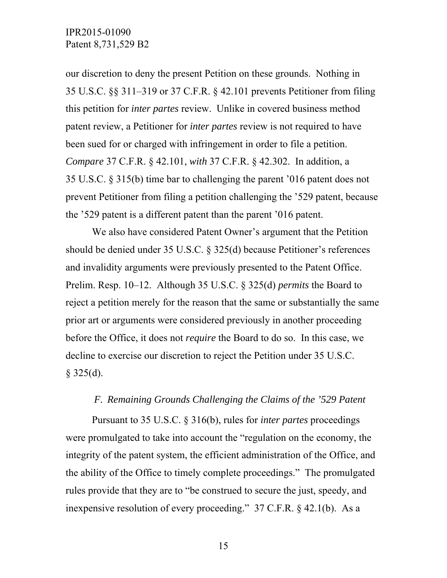our discretion to deny the present Petition on these grounds. Nothing in 35 U.S.C. §§ 311–319 or 37 C.F.R. § 42.101 prevents Petitioner from filing this petition for *inter partes* review. Unlike in covered business method patent review, a Petitioner for *inter partes* review is not required to have been sued for or charged with infringement in order to file a petition. *Compare* 37 C.F.R. § 42.101, *with* 37 C.F.R. § 42.302. In addition, a 35 U.S.C. § 315(b) time bar to challenging the parent '016 patent does not prevent Petitioner from filing a petition challenging the '529 patent, because the '529 patent is a different patent than the parent '016 patent.

We also have considered Patent Owner's argument that the Petition should be denied under 35 U.S.C. § 325(d) because Petitioner's references and invalidity arguments were previously presented to the Patent Office. Prelim. Resp. 10–12. Although 35 U.S.C. § 325(d) *permits* the Board to reject a petition merely for the reason that the same or substantially the same prior art or arguments were considered previously in another proceeding before the Office, it does not *require* the Board to do so. In this case, we decline to exercise our discretion to reject the Petition under 35 U.S.C.  $§$  325(d).

#### *F. Remaining Grounds Challenging the Claims of the '529 Patent*

Pursuant to 35 U.S.C. § 316(b), rules for *inter partes* proceedings were promulgated to take into account the "regulation on the economy, the integrity of the patent system, the efficient administration of the Office, and the ability of the Office to timely complete proceedings." The promulgated rules provide that they are to "be construed to secure the just, speedy, and inexpensive resolution of every proceeding." 37 C.F.R. § 42.1(b). As a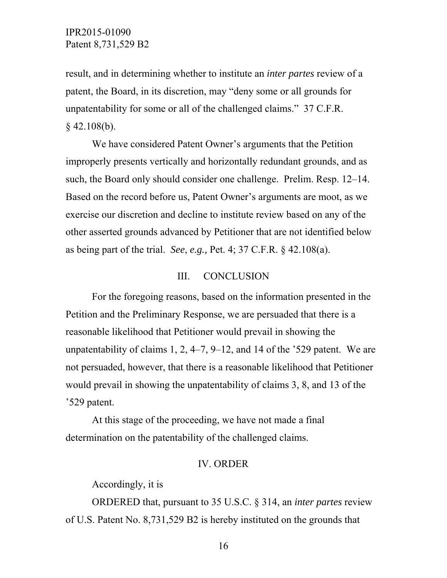result, and in determining whether to institute an *inter partes* review of a patent, the Board, in its discretion, may "deny some or all grounds for unpatentability for some or all of the challenged claims." 37 C.F.R.  $§$  42.108(b).

We have considered Patent Owner's arguments that the Petition improperly presents vertically and horizontally redundant grounds, and as such, the Board only should consider one challenge. Prelim. Resp. 12–14. Based on the record before us, Patent Owner's arguments are moot, as we exercise our discretion and decline to institute review based on any of the other asserted grounds advanced by Petitioner that are not identified below as being part of the trial. *See*, *e.g.,* Pet. 4; 37 C.F.R. § 42.108(a).

#### III. CONCLUSION

For the foregoing reasons, based on the information presented in the Petition and the Preliminary Response, we are persuaded that there is a reasonable likelihood that Petitioner would prevail in showing the unpatentability of claims 1, 2, 4–7, 9–12, and 14 of the '529 patent. We are not persuaded, however, that there is a reasonable likelihood that Petitioner would prevail in showing the unpatentability of claims 3, 8, and 13 of the '529 patent.

At this stage of the proceeding, we have not made a final determination on the patentability of the challenged claims.

#### IV. ORDER

Accordingly, it is

ORDERED that, pursuant to 35 U.S.C. § 314, an *inter partes* review of U.S. Patent No. 8,731,529 B2 is hereby instituted on the grounds that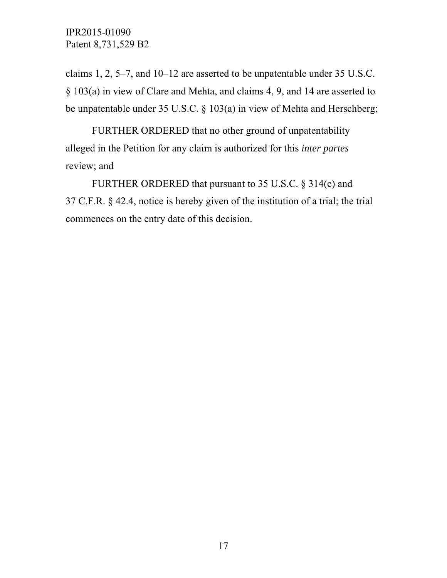claims 1, 2, 5–7, and 10–12 are asserted to be unpatentable under 35 U.S.C. § 103(a) in view of Clare and Mehta, and claims 4, 9, and 14 are asserted to be unpatentable under 35 U.S.C. § 103(a) in view of Mehta and Herschberg;

FURTHER ORDERED that no other ground of unpatentability alleged in the Petition for any claim is authorized for this *inter partes* review; and

FURTHER ORDERED that pursuant to 35 U.S.C. § 314(c) and 37 C.F.R. § 42.4, notice is hereby given of the institution of a trial; the trial commences on the entry date of this decision.